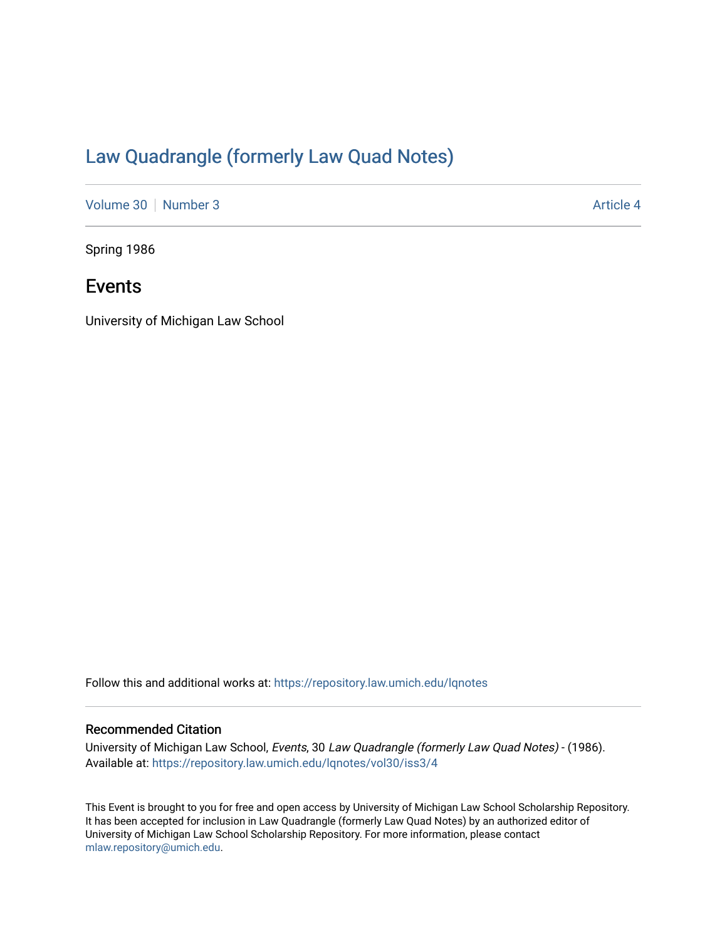## [Law Quadrangle \(formerly Law Quad Notes\)](https://repository.law.umich.edu/lqnotes)

[Volume 30](https://repository.law.umich.edu/lqnotes/vol30) [Number 3](https://repository.law.umich.edu/lqnotes/vol30/iss3) Article 4

Spring 1986

## Events

University of Michigan Law School

Follow this and additional works at: [https://repository.law.umich.edu/lqnotes](https://repository.law.umich.edu/lqnotes?utm_source=repository.law.umich.edu%2Flqnotes%2Fvol30%2Fiss3%2F4&utm_medium=PDF&utm_campaign=PDFCoverPages) 

### Recommended Citation

University of Michigan Law School, Events, 30 Law Quadrangle (formerly Law Quad Notes) - (1986). Available at: [https://repository.law.umich.edu/lqnotes/vol30/iss3/4](https://repository.law.umich.edu/lqnotes/vol30/iss3/4?utm_source=repository.law.umich.edu%2Flqnotes%2Fvol30%2Fiss3%2F4&utm_medium=PDF&utm_campaign=PDFCoverPages) 

This Event is brought to you for free and open access by University of Michigan Law School Scholarship Repository. It has been accepted for inclusion in Law Quadrangle (formerly Law Quad Notes) by an authorized editor of University of Michigan Law School Scholarship Repository. For more information, please contact [mlaw.repository@umich.edu.](mailto:mlaw.repository@umich.edu)